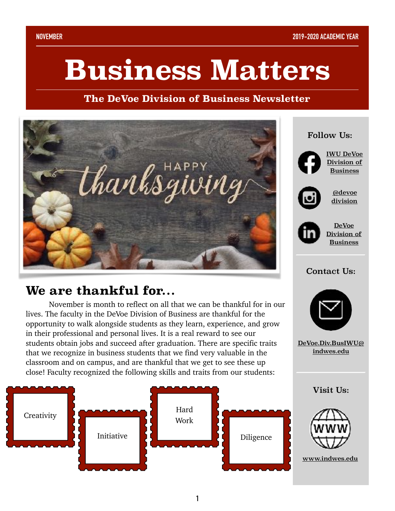# **Business Matters**

**The DeVoe Division of Business Newsletter**



### **We are thankful for…**

 November is month to reflect on all that we can be thankful for in our lives. The faculty in the DeVoe Division of Business are thankful for the opportunity to walk alongside students as they learn, experience, and grow in their professional and personal lives. It is a real reward to see our students obtain jobs and succeed after graduation. There are specific traits that we recognize in business students that we find very valuable in the classroom and on campus, and are thankful that we get to see these up close! Faculty recognized the following skills and traits from our students:



**1**

## Follow Us: [@devoe](https://www.instagram.com/devoedivision/?hl=en) [division](https://www.instagram.com/devoedivision/?hl=en) [IWU DeVoe](https://www.facebook.com/IWUBusinessDivision/?ref=bookmarks)  [Division of](https://www.facebook.com/IWUBusinessDivision/?ref=bookmarks)  **[Business](https://www.facebook.com/IWUBusinessDivision/?ref=bookmarks)** [DeVoe](https://www.linkedin.com/company/iwu-devoe-division-of-business/?viewAsMember=true)  [Division of](https://www.linkedin.com/company/iwu-devoe-division-of-business/?viewAsMember=true)  [Business](https://www.linkedin.com/company/iwu-devoe-division-of-business/?viewAsMember=true)

#### Contact Us:



[DeVoe.Div.BusIWU@](mailto:DeVoe.Div.BusIWU@indwes.edu) [indwes.edu](mailto:DeVoe.Div.BusIWU@indwes.edu)